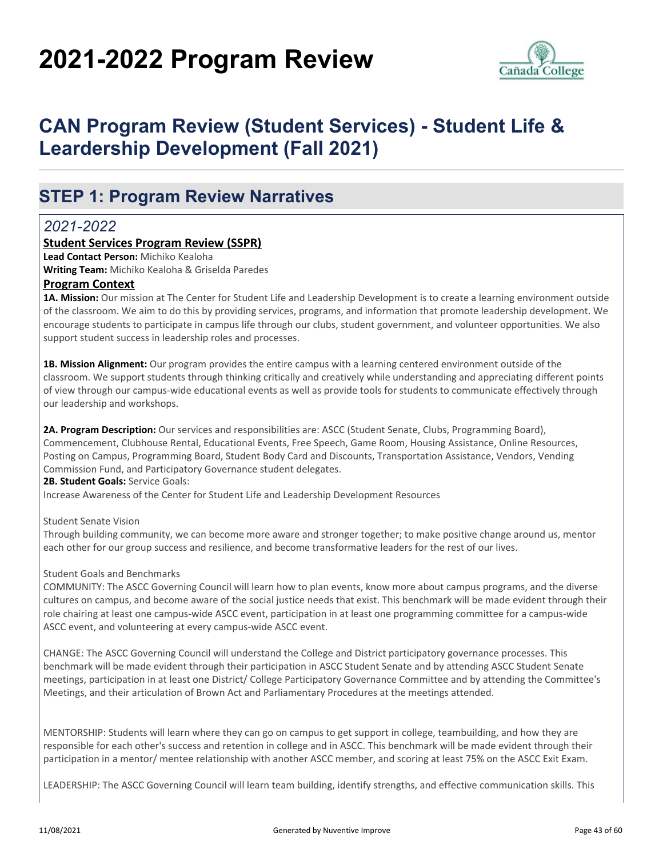# **2021-2022 Program Review**



## **CAN Program Review (Student Services) - Student Life & Leardership Development (Fall 2021)**

### **STEP 1: Program Review Narratives**

### *2021-2022*

#### **Student Services Program Review (SSPR)**

**Lead Contact Person:** Michiko Kealoha

**Writing Team:** Michiko Kealoha & Griselda Paredes

#### **Program Context**

**1A. Mission:** Our mission at The Center for Student Life and Leadership Development is to create a learning environment outside of the classroom. We aim to do this by providing services, programs, and information that promote leadership development. We encourage students to participate in campus life through our clubs, student government, and volunteer opportunities. We also support student success in leadership roles and processes.

**1B. Mission Alignment:** Our program provides the entire campus with a learning centered environment outside of the classroom. We support students through thinking critically and creatively while understanding and appreciating different points of view through our campus-wide educational events as well as provide tools for students to communicate effectively through our leadership and workshops.

**2A. Program Description:** Our services and responsibilities are: ASCC (Student Senate, Clubs, Programming Board), Commencement, Clubhouse Rental, Educational Events, Free Speech, Game Room, Housing Assistance, Online Resources, Posting on Campus, Programming Board, Student Body Card and Discounts, Transportation Assistance, Vendors, Vending Commission Fund, and Participatory Governance student delegates.

**2B. Student Goals:** Service Goals:

Increase Awareness of the Center for Student Life and Leadership Development Resources

Student Senate Vision

Through building community, we can become more aware and stronger together; to make positive change around us, mentor each other for our group success and resilience, and become transformative leaders for the rest of our lives.

#### Student Goals and Benchmarks

COMMUNITY: The ASCC Governing Council will learn how to plan events, know more about campus programs, and the diverse cultures on campus, and become aware of the social justice needs that exist. This benchmark will be made evident through their role chairing at least one campus-wide ASCC event, participation in at least one programming committee for a campus-wide ASCC event, and volunteering at every campus-wide ASCC event.

CHANGE: The ASCC Governing Council will understand the College and District participatory governance processes. This benchmark will be made evident through their participation in ASCC Student Senate and by attending ASCC Student Senate meetings, participation in at least one District/ College Participatory Governance Committee and by attending the Committee's Meetings, and their articulation of Brown Act and Parliamentary Procedures at the meetings attended.

MENTORSHIP: Students will learn where they can go on campus to get support in college, teambuilding, and how they are responsible for each other's success and retention in college and in ASCC. This benchmark will be made evident through their participation in a mentor/ mentee relationship with another ASCC member, and scoring at least 75% on the ASCC Exit Exam.

LEADERSHIP: The ASCC Governing Council will learn team building, identify strengths, and effective communication skills. This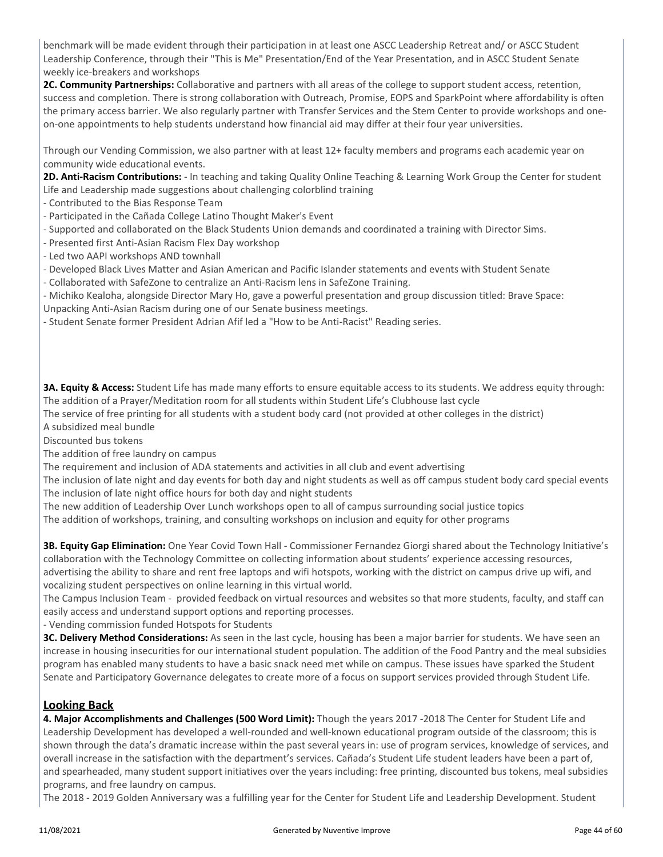benchmark will be made evident through their participation in at least one ASCC Leadership Retreat and/ or ASCC Student Leadership Conference, through their "This is Me" Presentation/End of the Year Presentation, and in ASCC Student Senate weekly ice-breakers and workshops

**2C. Community Partnerships:** Collaborative and partners with all areas of the college to support student access, retention, success and completion. There is strong collaboration with Outreach, Promise, EOPS and SparkPoint where affordability is often the primary access barrier. We also regularly partner with Transfer Services and the Stem Center to provide workshops and oneon-one appointments to help students understand how financial aid may differ at their four year universities.

Through our Vending Commission, we also partner with at least 12+ faculty members and programs each academic year on community wide educational events.

**2D. Anti-Racism Contributions:** - In teaching and taking Quality Online Teaching & Learning Work Group the Center for student Life and Leadership made suggestions about challenging colorblind training

- Contributed to the Bias Response Team
- Participated in the Cañada College Latino Thought Maker's Event
- Supported and collaborated on the Black Students Union demands and coordinated a training with Director Sims.
- Presented first Anti-Asian Racism Flex Day workshop
- Led two AAPI workshops AND townhall
- Developed Black Lives Matter and Asian American and Pacific Islander statements and events with Student Senate
- Collaborated with SafeZone to centralize an Anti-Racism lens in SafeZone Training.

- Michiko Kealoha, alongside Director Mary Ho, gave a powerful presentation and group discussion titled: Brave Space: Unpacking Anti-Asian Racism during one of our Senate business meetings.

- Student Senate former President Adrian Afif led a "How to be Anti-Racist" Reading series.

**3A. Equity & Access:** Student Life has made many efforts to ensure equitable access to its students. We address equity through: The addition of a Prayer/Meditation room for all students within Student Life's Clubhouse last cycle

The service of free printing for all students with a student body card (not provided at other colleges in the district) A subsidized meal bundle

Discounted bus tokens

The addition of free laundry on campus

The requirement and inclusion of ADA statements and activities in all club and event advertising

The inclusion of late night and day events for both day and night students as well as off campus student body card special events The inclusion of late night office hours for both day and night students

The new addition of Leadership Over Lunch workshops open to all of campus surrounding social justice topics

The addition of workshops, training, and consulting workshops on inclusion and equity for other programs

**3B. Equity Gap Elimination:** One Year Covid Town Hall - Commissioner Fernandez Giorgi shared about the Technology Initiative's collaboration with the Technology Committee on collecting information about students' experience accessing resources, advertising the ability to share and rent free laptops and wifi hotspots, working with the district on campus drive up wifi, and vocalizing student perspectives on online learning in this virtual world.

The Campus Inclusion Team - provided feedback on virtual resources and websites so that more students, faculty, and staff can easily access and understand support options and reporting processes.

- Vending commission funded Hotspots for Students

**3C. Delivery Method Considerations:** As seen in the last cycle, housing has been a major barrier for students. We have seen an increase in housing insecurities for our international student population. The addition of the Food Pantry and the meal subsidies program has enabled many students to have a basic snack need met while on campus. These issues have sparked the Student Senate and Participatory Governance delegates to create more of a focus on support services provided through Student Life.

#### **Looking Back**

**4. Major Accomplishments and Challenges (500 Word Limit):** Though the years 2017 -2018 The Center for Student Life and Leadership Development has developed a well-rounded and well-known educational program outside of the classroom; this is shown through the data's dramatic increase within the past several years in: use of program services, knowledge of services, and overall increase in the satisfaction with the department's services. Cañada's Student Life student leaders have been a part of, and spearheaded, many student support initiatives over the years including: free printing, discounted bus tokens, meal subsidies programs, and free laundry on campus.

The 2018 - 2019 Golden Anniversary was a fulfilling year for the Center for Student Life and Leadership Development. Student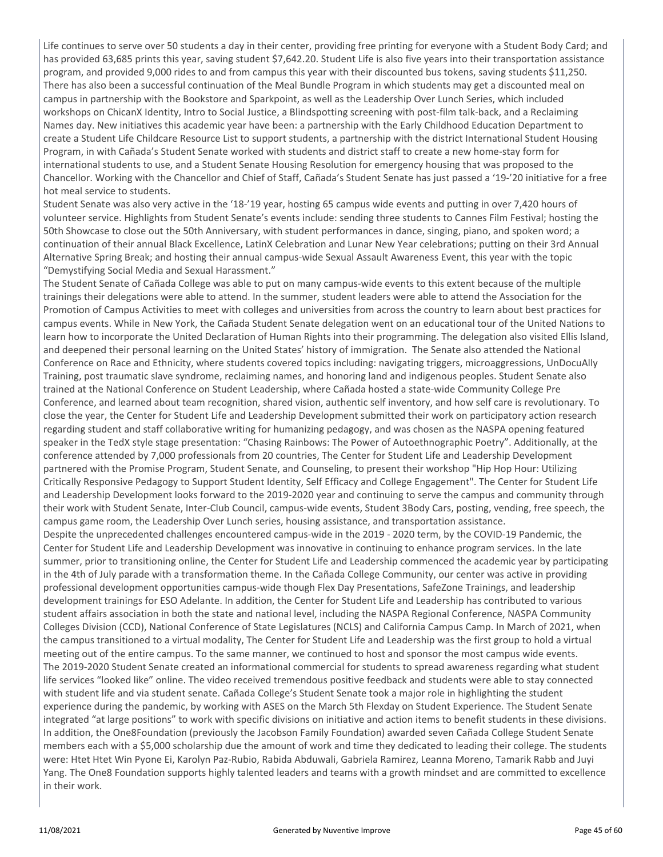Life continues to serve over 50 students a day in their center, providing free printing for everyone with a Student Body Card; and has provided 63,685 prints this year, saving student \$7,642.20. Student Life is also five years into their transportation assistance program, and provided 9,000 rides to and from campus this year with their discounted bus tokens, saving students \$11,250. There has also been a successful continuation of the Meal Bundle Program in which students may get a discounted meal on campus in partnership with the Bookstore and Sparkpoint, as well as the Leadership Over Lunch Series, which included workshops on ChicanX Identity, Intro to Social Justice, a Blindspotting screening with post-film talk-back, and a Reclaiming Names day. New initiatives this academic year have been: a partnership with the Early Childhood Education Department to create a Student Life Childcare Resource List to support students, a partnership with the district International Student Housing Program, in with Cañada's Student Senate worked with students and district staff to create a new home-stay form for international students to use, and a Student Senate Housing Resolution for emergency housing that was proposed to the Chancellor. Working with the Chancellor and Chief of Staff, Cañada's Student Senate has just passed a '19-'20 initiative for a free hot meal service to students.

Student Senate was also very active in the '18-'19 year, hosting 65 campus wide events and putting in over 7,420 hours of volunteer service. Highlights from Student Senate's events include: sending three students to Cannes Film Festival; hosting the 50th Showcase to close out the 50th Anniversary, with student performances in dance, singing, piano, and spoken word; a continuation of their annual Black Excellence, LatinX Celebration and Lunar New Year celebrations; putting on their 3rd Annual Alternative Spring Break; and hosting their annual campus-wide Sexual Assault Awareness Event, this year with the topic "Demystifying Social Media and Sexual Harassment."

The Student Senate of Cañada College was able to put on many campus-wide events to this extent because of the multiple trainings their delegations were able to attend. In the summer, student leaders were able to attend the Association for the Promotion of Campus Activities to meet with colleges and universities from across the country to learn about best practices for campus events. While in New York, the Cañada Student Senate delegation went on an educational tour of the United Nations to learn how to incorporate the United Declaration of Human Rights into their programming. The delegation also visited Ellis Island, and deepened their personal learning on the United States' history of immigration. The Senate also attended the National Conference on Race and Ethnicity, where students covered topics including: navigating triggers, microaggressions, UnDocuAlly Training, post traumatic slave syndrome, reclaiming names, and honoring land and indigenous peoples. Student Senate also trained at the National Conference on Student Leadership, where Cañada hosted a state-wide Community College Pre Conference, and learned about team recognition, shared vision, authentic self inventory, and how self care is revolutionary. To close the year, the Center for Student Life and Leadership Development submitted their work on participatory action research regarding student and staff collaborative writing for humanizing pedagogy, and was chosen as the NASPA opening featured speaker in the TedX style stage presentation: "Chasing Rainbows: The Power of Autoethnographic Poetry". Additionally, at the conference attended by 7,000 professionals from 20 countries, The Center for Student Life and Leadership Development partnered with the Promise Program, Student Senate, and Counseling, to present their workshop "Hip Hop Hour: Utilizing Critically Responsive Pedagogy to Support Student Identity, Self Efficacy and College Engagement". The Center for Student Life and Leadership Development looks forward to the 2019-2020 year and continuing to serve the campus and community through their work with Student Senate, Inter-Club Council, campus-wide events, Student 3Body Cars, posting, vending, free speech, the campus game room, the Leadership Over Lunch series, housing assistance, and transportation assistance.

Despite the unprecedented challenges encountered campus-wide in the 2019 - 2020 term, by the COVID-19 Pandemic, the Center for Student Life and Leadership Development was innovative in continuing to enhance program services. In the late summer, prior to transitioning online, the Center for Student Life and Leadership commenced the academic year by participating in the 4th of July parade with a transformation theme. In the Cañada College Community, our center was active in providing professional development opportunities campus-wide though Flex Day Presentations, SafeZone Trainings, and leadership development trainings for ESO Adelante. In addition, the Center for Student Life and Leadership has contributed to various student affairs association in both the state and national level, including the NASPA Regional Conference, NASPA Community Colleges Division (CCD), National Conference of State Legislatures (NCLS) and California Campus Camp. In March of 2021, when the campus transitioned to a virtual modality, The Center for Student Life and Leadership was the first group to hold a virtual meeting out of the entire campus. To the same manner, we continued to host and sponsor the most campus wide events. The 2019-2020 Student Senate created an informational commercial for students to spread awareness regarding what student life services "looked like" online. The video received tremendous positive feedback and students were able to stay connected with student life and via student senate. Cañada College's Student Senate took a major role in highlighting the student experience during the pandemic, by working with ASES on the March 5th Flexday on Student Experience. The Student Senate integrated "at large positions" to work with specific divisions on initiative and action items to benefit students in these divisions. In addition, the One8Foundation (previously the Jacobson Family Foundation) awarded seven Cañada College Student Senate members each with a \$5,000 scholarship due the amount of work and time they dedicated to leading their college. The students were: Htet Htet Win Pyone Ei, Karolyn Paz-Rubio, Rabida Abduwali, Gabriela Ramirez, Leanna Moreno, Tamarik Rabb and Juyi Yang. The One8 Foundation supports highly talented leaders and teams with a growth mindset and are committed to excellence in their work.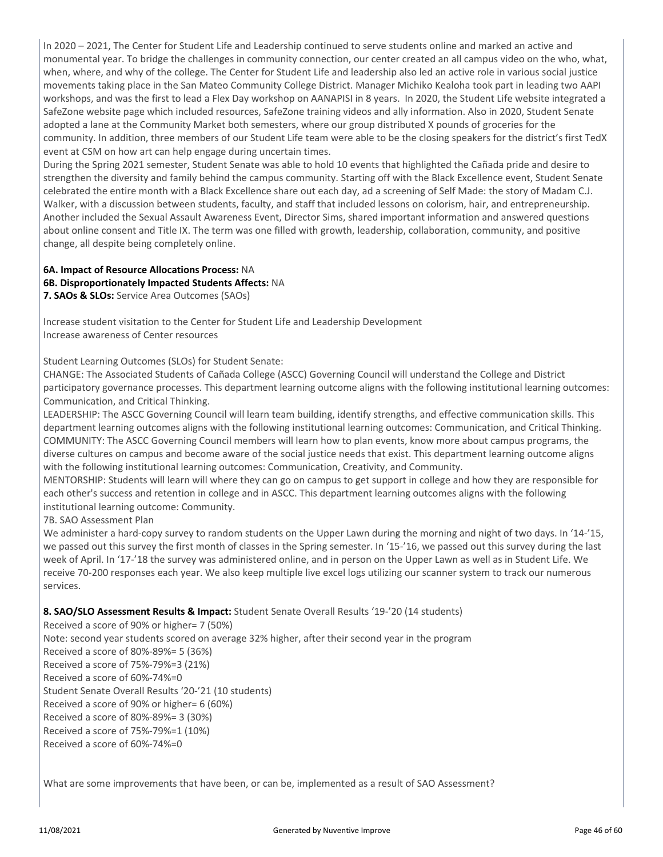In 2020 – 2021, The Center for Student Life and Leadership continued to serve students online and marked an active and monumental year. To bridge the challenges in community connection, our center created an all campus video on the who, what, when, where, and why of the college. The Center for Student Life and leadership also led an active role in various social justice movements taking place in the San Mateo Community College District. Manager Michiko Kealoha took part in leading two AAPI workshops, and was the first to lead a Flex Day workshop on AANAPISI in 8 years. In 2020, the Student Life website integrated a SafeZone website page which included resources, SafeZone training videos and ally information. Also in 2020, Student Senate adopted a lane at the Community Market both semesters, where our group distributed X pounds of groceries for the community. In addition, three members of our Student Life team were able to be the closing speakers for the district's first TedX event at CSM on how art can help engage during uncertain times.

During the Spring 2021 semester, Student Senate was able to hold 10 events that highlighted the Cañada pride and desire to strengthen the diversity and family behind the campus community. Starting off with the Black Excellence event, Student Senate celebrated the entire month with a Black Excellence share out each day, ad a screening of Self Made: the story of Madam C.J. Walker, with a discussion between students, faculty, and staff that included lessons on colorism, hair, and entrepreneurship. Another included the Sexual Assault Awareness Event, Director Sims, shared important information and answered questions about online consent and Title IX. The term was one filled with growth, leadership, collaboration, community, and positive change, all despite being completely online.

#### **6A. Impact of Resource Allocations Process:** NA **6B. Disproportionately Impacted Students Affects:** NA **7. SAOs & SLOs:** Service Area Outcomes (SAOs)

Increase student visitation to the Center for Student Life and Leadership Development Increase awareness of Center resources

Student Learning Outcomes (SLOs) for Student Senate:

CHANGE: The Associated Students of Cañada College (ASCC) Governing Council will understand the College and District participatory governance processes. This department learning outcome aligns with the following institutional learning outcomes: Communication, and Critical Thinking.

LEADERSHIP: The ASCC Governing Council will learn team building, identify strengths, and effective communication skills. This department learning outcomes aligns with the following institutional learning outcomes: Communication, and Critical Thinking. COMMUNITY: The ASCC Governing Council members will learn how to plan events, know more about campus programs, the diverse cultures on campus and become aware of the social justice needs that exist. This department learning outcome aligns with the following institutional learning outcomes: Communication, Creativity, and Community.

MENTORSHIP: Students will learn will where they can go on campus to get support in college and how they are responsible for each other's success and retention in college and in ASCC. This department learning outcomes aligns with the following institutional learning outcome: Community.

7B. SAO Assessment Plan

We administer a hard-copy survey to random students on the Upper Lawn during the morning and night of two days. In '14-'15, we passed out this survey the first month of classes in the Spring semester. In '15-'16, we passed out this survey during the last week of April. In '17-'18 the survey was administered online, and in person on the Upper Lawn as well as in Student Life. We receive 70-200 responses each year. We also keep multiple live excel logs utilizing our scanner system to track our numerous services.

#### **8. SAO/SLO Assessment Results & Impact:** Student Senate Overall Results '19-'20 (14 students)

Received a score of 90% or higher= 7 (50%) Note: second year students scored on average 32% higher, after their second year in the program Received a score of 80%-89%= 5 (36%) Received a score of 75%-79%=3 (21%)

Received a score of 60%-74%=0

Student Senate Overall Results '20-'21 (10 students)

Received a score of 90% or higher= 6 (60%)

Received a score of 80%-89%= 3 (30%)

Received a score of 75%-79%=1 (10%)

Received a score of 60%-74%=0

What are some improvements that have been, or can be, implemented as a result of SAO Assessment?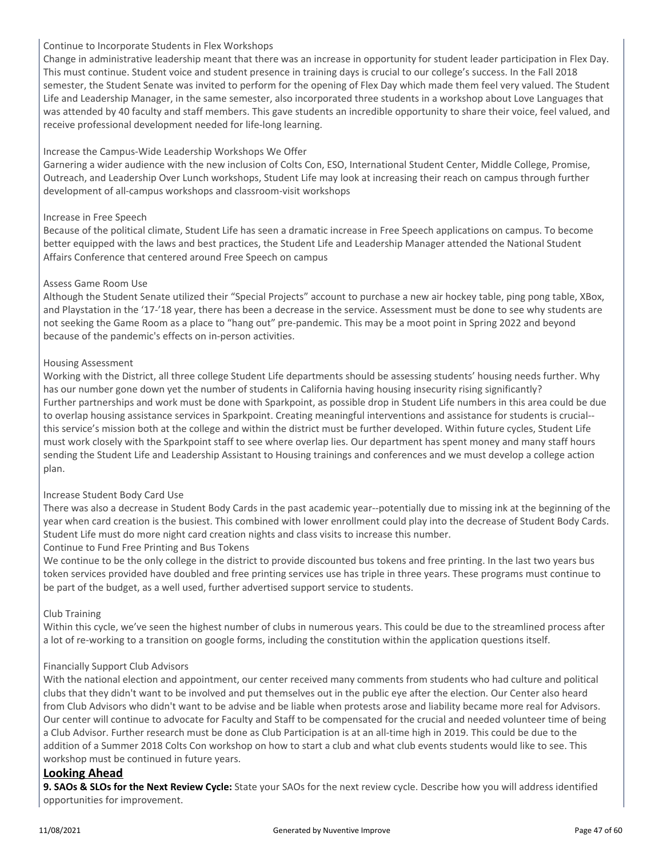#### Continue to Incorporate Students in Flex Workshops

Change in administrative leadership meant that there was an increase in opportunity for student leader participation in Flex Day. This must continue. Student voice and student presence in training days is crucial to our college's success. In the Fall 2018 semester, the Student Senate was invited to perform for the opening of Flex Day which made them feel very valued. The Student Life and Leadership Manager, in the same semester, also incorporated three students in a workshop about Love Languages that was attended by 40 faculty and staff members. This gave students an incredible opportunity to share their voice, feel valued, and receive professional development needed for life-long learning.

#### Increase the Campus-Wide Leadership Workshops We Offer

Garnering a wider audience with the new inclusion of Colts Con, ESO, International Student Center, Middle College, Promise, Outreach, and Leadership Over Lunch workshops, Student Life may look at increasing their reach on campus through further development of all-campus workshops and classroom-visit workshops

#### Increase in Free Speech

Because of the political climate, Student Life has seen a dramatic increase in Free Speech applications on campus. To become better equipped with the laws and best practices, the Student Life and Leadership Manager attended the National Student Affairs Conference that centered around Free Speech on campus

#### Assess Game Room Use

Although the Student Senate utilized their "Special Projects" account to purchase a new air hockey table, ping pong table, XBox, and Playstation in the '17-'18 year, there has been a decrease in the service. Assessment must be done to see why students are not seeking the Game Room as a place to "hang out" pre-pandemic. This may be a moot point in Spring 2022 and beyond because of the pandemic's effects on in-person activities.

#### Housing Assessment

Working with the District, all three college Student Life departments should be assessing students' housing needs further. Why has our number gone down yet the number of students in California having housing insecurity rising significantly? Further partnerships and work must be done with Sparkpoint, as possible drop in Student Life numbers in this area could be due to overlap housing assistance services in Sparkpoint. Creating meaningful interventions and assistance for students is crucial- this service's mission both at the college and within the district must be further developed. Within future cycles, Student Life must work closely with the Sparkpoint staff to see where overlap lies. Our department has spent money and many staff hours sending the Student Life and Leadership Assistant to Housing trainings and conferences and we must develop a college action plan.

#### Increase Student Body Card Use

There was also a decrease in Student Body Cards in the past academic year--potentially due to missing ink at the beginning of the year when card creation is the busiest. This combined with lower enrollment could play into the decrease of Student Body Cards. Student Life must do more night card creation nights and class visits to increase this number.

#### Continue to Fund Free Printing and Bus Tokens

We continue to be the only college in the district to provide discounted bus tokens and free printing. In the last two years bus token services provided have doubled and free printing services use has triple in three years. These programs must continue to be part of the budget, as a well used, further advertised support service to students.

#### Club Training

Within this cycle, we've seen the highest number of clubs in numerous years. This could be due to the streamlined process after a lot of re-working to a transition on google forms, including the constitution within the application questions itself.

#### Financially Support Club Advisors

With the national election and appointment, our center received many comments from students who had culture and political clubs that they didn't want to be involved and put themselves out in the public eye after the election. Our Center also heard from Club Advisors who didn't want to be advise and be liable when protests arose and liability became more real for Advisors. Our center will continue to advocate for Faculty and Staff to be compensated for the crucial and needed volunteer time of being a Club Advisor. Further research must be done as Club Participation is at an all-time high in 2019. This could be due to the addition of a Summer 2018 Colts Con workshop on how to start a club and what club events students would like to see. This workshop must be continued in future years.

#### **Looking Ahead**

**9. SAOs & SLOs for the Next Review Cycle:** State your SAOs for the next review cycle. Describe how you will address identified opportunities for improvement.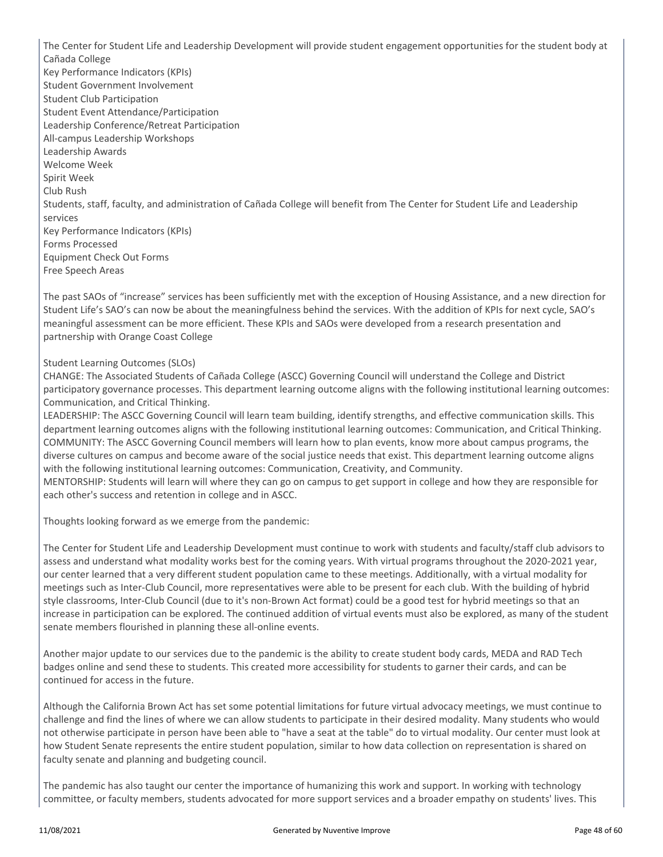The Center for Student Life and Leadership Development will provide student engagement opportunities for the student body at Cañada College Key Performance Indicators (KPIs) Student Government Involvement Student Club Participation Student Event Attendance/Participation Leadership Conference/Retreat Participation All-campus Leadership Workshops Leadership Awards Welcome Week Spirit Week Club Rush Students, staff, faculty, and administration of Cañada College will benefit from The Center for Student Life and Leadership services Key Performance Indicators (KPIs) Forms Processed Equipment Check Out Forms Free Speech Areas

The past SAOs of "increase" services has been sufficiently met with the exception of Housing Assistance, and a new direction for Student Life's SAO's can now be about the meaningfulness behind the services. With the addition of KPIs for next cycle, SAO's meaningful assessment can be more efficient. These KPIs and SAOs were developed from a research presentation and partnership with Orange Coast College

#### Student Learning Outcomes (SLOs)

CHANGE: The Associated Students of Cañada College (ASCC) Governing Council will understand the College and District participatory governance processes. This department learning outcome aligns with the following institutional learning outcomes: Communication, and Critical Thinking.

LEADERSHIP: The ASCC Governing Council will learn team building, identify strengths, and effective communication skills. This department learning outcomes aligns with the following institutional learning outcomes: Communication, and Critical Thinking. COMMUNITY: The ASCC Governing Council members will learn how to plan events, know more about campus programs, the diverse cultures on campus and become aware of the social justice needs that exist. This department learning outcome aligns with the following institutional learning outcomes: Communication, Creativity, and Community.

MENTORSHIP: Students will learn will where they can go on campus to get support in college and how they are responsible for each other's success and retention in college and in ASCC.

Thoughts looking forward as we emerge from the pandemic:

The Center for Student Life and Leadership Development must continue to work with students and faculty/staff club advisors to assess and understand what modality works best for the coming years. With virtual programs throughout the 2020-2021 year, our center learned that a very different student population came to these meetings. Additionally, with a virtual modality for meetings such as Inter-Club Council, more representatives were able to be present for each club. With the building of hybrid style classrooms, Inter-Club Council (due to it's non-Brown Act format) could be a good test for hybrid meetings so that an increase in participation can be explored. The continued addition of virtual events must also be explored, as many of the student senate members flourished in planning these all-online events.

Another major update to our services due to the pandemic is the ability to create student body cards, MEDA and RAD Tech badges online and send these to students. This created more accessibility for students to garner their cards, and can be continued for access in the future.

Although the California Brown Act has set some potential limitations for future virtual advocacy meetings, we must continue to challenge and find the lines of where we can allow students to participate in their desired modality. Many students who would not otherwise participate in person have been able to "have a seat at the table" do to virtual modality. Our center must look at how Student Senate represents the entire student population, similar to how data collection on representation is shared on faculty senate and planning and budgeting council.

The pandemic has also taught our center the importance of humanizing this work and support. In working with technology committee, or faculty members, students advocated for more support services and a broader empathy on students' lives. This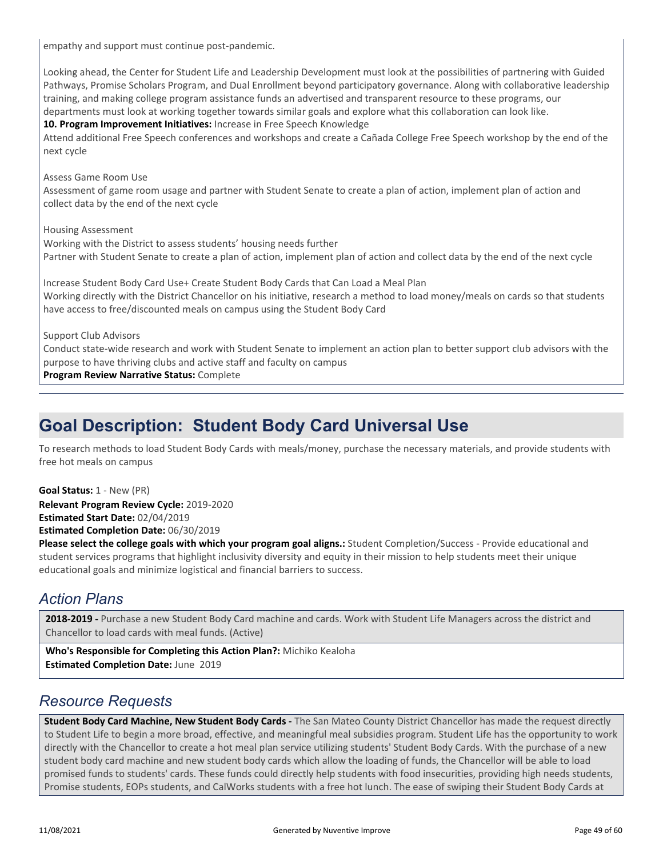empathy and support must continue post-pandemic.

Looking ahead, the Center for Student Life and Leadership Development must look at the possibilities of partnering with Guided Pathways, Promise Scholars Program, and Dual Enrollment beyond participatory governance. Along with collaborative leadership training, and making college program assistance funds an advertised and transparent resource to these programs, our departments must look at working together towards similar goals and explore what this collaboration can look like. **10. Program Improvement Initiatives:** Increase in Free Speech Knowledge Attend additional Free Speech conferences and workshops and create a Cañada College Free Speech workshop by the end of the next cycle Assess Game Room Use Assessment of game room usage and partner with Student Senate to create a plan of action, implement plan of action and collect data by the end of the next cycle Housing Assessment Working with the District to assess students' housing needs further Partner with Student Senate to create a plan of action, implement plan of action and collect data by the end of the next cycle Increase Student Body Card Use+ Create Student Body Cards that Can Load a Meal Plan Working directly with the District Chancellor on his initiative, research a method to load money/meals on cards so that students have access to free/discounted meals on campus using the Student Body Card Support Club Advisors

Conduct state-wide research and work with Student Senate to implement an action plan to better support club advisors with the purpose to have thriving clubs and active staff and faculty on campus

**Program Review Narrative Status:** Complete

### **Goal Description: Student Body Card Universal Use**

To research methods to load Student Body Cards with meals/money, purchase the necessary materials, and provide students with free hot meals on campus

**Relevant Program Review Cycle:** 2019-2020 **Estimated Start Date:** 02/04/2019 **Goal Status:** 1 - New (PR)

**Estimated Completion Date:** 06/30/2019

**Please select the college goals with which your program goal aligns.:** Student Completion/Success - Provide educational and student services programs that highlight inclusivity diversity and equity in their mission to help students meet their unique educational goals and minimize logistical and financial barriers to success.

### *Action Plans*

**2018-2019 -** Purchase a new Student Body Card machine and cards. Work with Student Life Managers across the district and Chancellor to load cards with meal funds. (Active)

**Who's Responsible for Completing this Action Plan?:** Michiko Kealoha **Estimated Completion Date:** June 2019

### *Resource Requests*

**Student Body Card Machine, New Student Body Cards -** The San Mateo County District Chancellor has made the request directly to Student Life to begin a more broad, effective, and meaningful meal subsidies program. Student Life has the opportunity to work directly with the Chancellor to create a hot meal plan service utilizing students' Student Body Cards. With the purchase of a new student body card machine and new student body cards which allow the loading of funds, the Chancellor will be able to load promised funds to students' cards. These funds could directly help students with food insecurities, providing high needs students, Promise students, EOPs students, and CalWorks students with a free hot lunch. The ease of swiping their Student Body Cards at